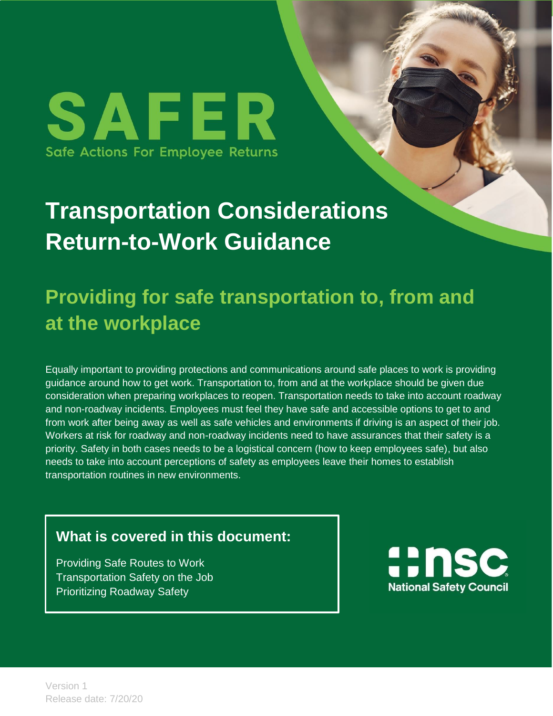SAFER Safe Actions For Employee Returns

# **Transportation Considerations Return-to-Work Guidance**

## **Providing for safe transportation to, from and at the workplace**

Equally important to providing protections and communications around safe places to work is providing guidance around how to get work. Transportation to, from and at the workplace should be given due consideration when preparing workplaces to reopen. Transportation needs to take into account roadway and non-roadway incidents. Employees must feel they have safe and accessible options to get to and from work after being away as well as safe vehicles and environments if driving is an aspect of their job. Workers at risk for roadway and non-roadway incidents need to have assurances that their safety is a priority. Safety in both cases needs to be a logistical concern (how to keep employees safe), but also needs to take into account perceptions of safety as employees leave their homes to establish transportation routines in new environments.

#### **What is covered in this document:**

Providing Safe Routes to Work Transportation Safety on the Job Prioritizing Roadway Safety

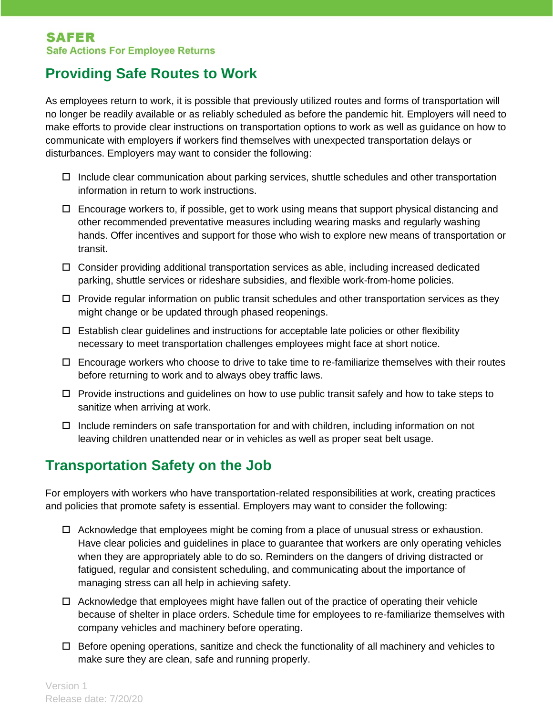#### **Providing Safe Routes to Work**

As employees return to work, it is possible that previously utilized routes and forms of transportation will no longer be readily available or as reliably scheduled as before the pandemic hit. Employers will need to make efforts to provide clear instructions on transportation options to work as well as guidance on how to communicate with employers if workers find themselves with unexpected transportation delays or disturbances. Employers may want to consider the following:

- $\Box$  Include clear communication about parking services, shuttle schedules and other transportation information in return to work instructions.
- $\Box$  Encourage workers to, if possible, get to work using means that support physical distancing and other recommended preventative measures including wearing masks and regularly washing hands. Offer incentives and support for those who wish to explore new means of transportation or transit.
- Consider providing additional transportation services as able, including increased dedicated parking, shuttle services or rideshare subsidies, and flexible work-from-home policies.
- $\Box$  Provide regular information on public transit schedules and other transportation services as they might change or be updated through phased reopenings.
- $\Box$  Establish clear guidelines and instructions for acceptable late policies or other flexibility necessary to meet transportation challenges employees might face at short notice.
- $\Box$  Encourage workers who choose to drive to take time to re-familiarize themselves with their routes before returning to work and to always obey traffic laws.
- $\Box$  Provide instructions and quidelines on how to use public transit safely and how to take steps to sanitize when arriving at work.
- $\Box$  Include reminders on safe transportation for and with children, including information on not leaving children unattended near or in vehicles as well as proper seat belt usage.

#### **Transportation Safety on the Job**

For employers with workers who have transportation-related responsibilities at work, creating practices and policies that promote safety is essential. Employers may want to consider the following:

- $\Box$  Acknowledge that employees might be coming from a place of unusual stress or exhaustion. Have clear policies and guidelines in place to guarantee that workers are only operating vehicles when they are appropriately able to do so. Reminders on the dangers of driving distracted or fatigued, regular and consistent scheduling, and communicating about the importance of managing stress can all help in achieving safety.
- $\Box$  Acknowledge that employees might have fallen out of the practice of operating their vehicle because of shelter in place orders. Schedule time for employees to re-familiarize themselves with company vehicles and machinery before operating.
- $\Box$  Before opening operations, sanitize and check the functionality of all machinery and vehicles to make sure they are clean, safe and running properly.